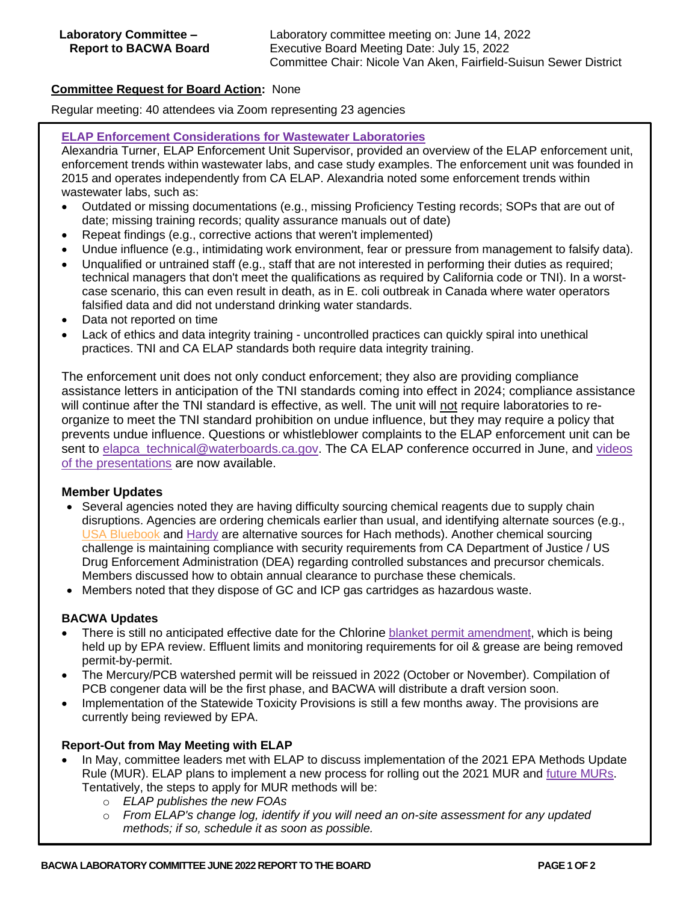# **Committee Request for Board Action:** None

Regular meeting: 40 attendees via Zoom representing 23 agencies

#### **[ELAP Enforcement Considerations for Wastewater Laboratories](https://bacwa.org/wp-content/uploads/2022/06/ELAP-Enforcement-Considerations-for-Wastewater-Laboratories.pdf)**

Alexandria Turner, ELAP Enforcement Unit Supervisor, provided an overview of the ELAP enforcement unit, enforcement trends within wastewater labs, and case study examples. The enforcement unit was founded in 2015 and operates independently from CA ELAP. Alexandria noted some enforcement trends within wastewater labs, such as:

- Outdated or missing documentations (e.g., missing Proficiency Testing records; SOPs that are out of date; missing training records; quality assurance manuals out of date)
- Repeat findings (e.g., corrective actions that weren't implemented)
- Undue influence (e.g., intimidating work environment, fear or pressure from management to falsify data).
- Unqualified or untrained staff (e.g., staff that are not interested in performing their duties as required; technical managers that don't meet the qualifications as required by California code or TNI). In a worstcase scenario, this can even result in death, as in E. coli outbreak in Canada where water operators falsified data and did not understand drinking water standards.
- Data not reported on time
- Lack of ethics and data integrity training uncontrolled practices can quickly spiral into unethical practices. TNI and CA ELAP standards both require data integrity training.

The enforcement unit does not only conduct enforcement; they also are providing compliance assistance letters in anticipation of the TNI standards coming into effect in 2024; compliance assistance will continue after the TNI standard is effective, as well. The unit will not require laboratories to reorganize to meet the TNI standard prohibition on undue influence, but they may require a policy that prevents undue influence. Questions or whistleblower complaints to the ELAP enforcement unit can be sent to [elapca\\_technical@waterboards.ca.gov.](mailto:elapca_technical@waterboards.ca.gov) The CA ELAP conference occurred in June, and videos [of the presentations](https://www.waterboards.ca.gov/drinking_water/certlic/labs/elapcon.html) are now available.

## **Member Updates**

- Several agencies noted they are having difficulty sourcing chemical reagents due to supply chain disruptions. Agencies are ordering chemicals earlier than usual, and identifying alternate sources (e.g., [USA Bluebook](https://www.usabluebook.com/) and [Hardy](https://hardydiagnostics.com/) are alternative sources for Hach methods). Another chemical sourcing challenge is maintaining compliance with security requirements from CA Department of Justice / US Drug Enforcement Administration (DEA) regarding controlled substances and precursor chemicals. Members discussed how to obtain annual clearance to purchase these chemicals.
- Members noted that they dispose of GC and ICP gas cartridges as hazardous waste.

## **BACWA Updates**

- There is still no anticipated effective date for the Chlorine [blanket permit amendment,](https://www.waterboards.ca.gov/sanfranciscobay/board_decisions/adopted_orders/2021/R2-2021-0019.pdf) which is being held up by EPA review. Effluent limits and monitoring requirements for oil & grease are being removed permit-by-permit.
- The Mercury/PCB watershed permit will be reissued in 2022 (October or November). Compilation of PCB congener data will be the first phase, and BACWA will distribute a draft version soon.
- Implementation of the Statewide Toxicity Provisions is still a few months away. The provisions are currently being reviewed by EPA.

## **Report-Out from May Meeting with ELAP**

- In May, committee leaders met with ELAP to discuss implementation of the 2021 EPA Methods Update Rule (MUR). ELAP plans to implement a new process for rolling out the 2021 MUR and [future MURs.](https://www.epa.gov/cwa-methods/methods-update-rules) Tentatively, the steps to apply for MUR methods will be:
	- o *ELAP publishes the new FOAs*
	- o *From ELAP's change log, identify if you will need an on-site assessment for any updated methods; if so, schedule it as soon as possible.*